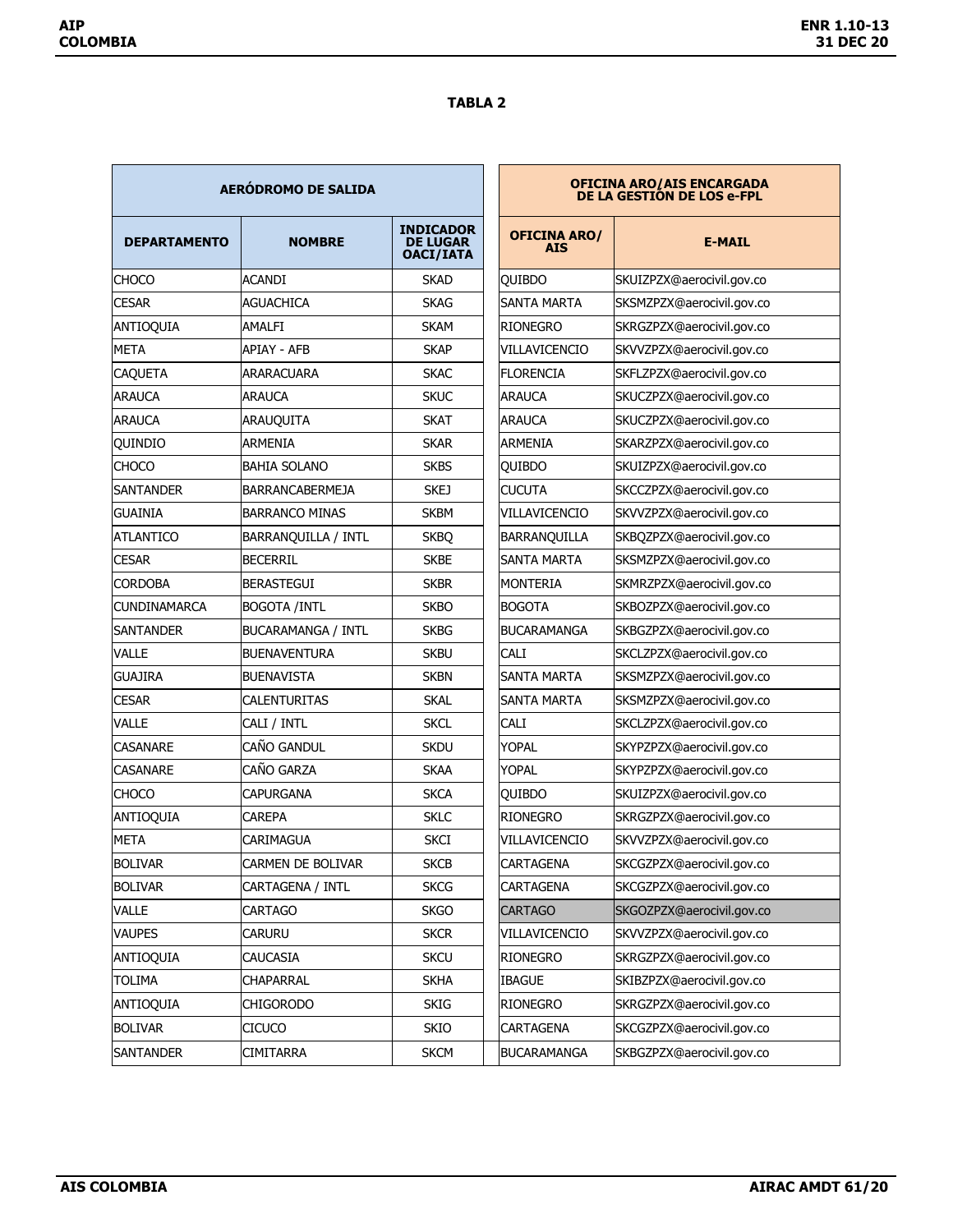## **TABLA 2**

| <b>AERÓDROMO DE SALIDA</b> |                           |                                                         | OFICINA ARO/AIS ENCARGADA<br>DE LA GESTIÓN DE LOS e-FPL |  |
|----------------------------|---------------------------|---------------------------------------------------------|---------------------------------------------------------|--|
| <b>DEPARTAMENTO</b>        | <b>NOMBRE</b>             | <b>INDICADOR</b><br><b>DE LUGAR</b><br><b>OACI/IATA</b> | <b>OFICINA ARO/</b><br><b>AIS</b>                       |  |
| <b>CHOCO</b>               | <b>ACANDI</b>             | <b>SKAD</b>                                             | QUIBDO                                                  |  |
| <b>CESAR</b>               | <b>AGUACHICA</b>          | <b>SKAG</b>                                             | <b>SANTA MARTA</b>                                      |  |
| <b>ANTIOQUIA</b>           | <b>AMALFI</b>             | <b>SKAM</b>                                             | <b>RIONEGRO</b>                                         |  |
| META                       | <b>APIAY - AFB</b>        | <b>SKAP</b>                                             | VILLAVICENCIO                                           |  |
| <b>CAQUETA</b>             | <b>ARARACUARA</b>         | <b>SKAC</b>                                             | <b>FLORENCIA</b>                                        |  |
| <b>ARAUCA</b>              | <b>ARAUCA</b>             | <b>SKUC</b>                                             | <b>ARAUCA</b>                                           |  |
| <b>ARAUCA</b>              | ARAUQUITA                 | <b>SKAT</b>                                             | <b>ARAUCA</b>                                           |  |
| <b>OUINDIO</b>             | ARMENIA                   | <b>SKAR</b>                                             | <b>ARMENIA</b>                                          |  |
| <b>CHOCO</b>               | <b>BAHIA SOLANO</b>       | <b>SKBS</b>                                             | <b>OUIBDO</b>                                           |  |
| <b>SANTANDER</b>           | <b>BARRANCABERMEJA</b>    | <b>SKEJ</b>                                             | <b>CUCUTA</b>                                           |  |
| <b>GUAINIA</b>             | <b>BARRANCO MINAS</b>     | <b>SKBM</b>                                             | <b>VILLAVICENCIO</b>                                    |  |
| <b>ATLANTICO</b>           | BARRANQUILLA / INTL       | <b>SKBQ</b>                                             | BARRANQUILLA                                            |  |
| <b>CESAR</b>               | <b>BECERRIL</b>           | <b>SKBE</b>                                             | <b>SANTA MARTA</b>                                      |  |
| <b>CORDOBA</b>             | <b>BERASTEGUI</b>         | <b>SKBR</b>                                             | <b>MONTERIA</b>                                         |  |
| <b>CUNDINAMARCA</b>        | <b>BOGOTA /INTL</b>       | <b>SKBO</b>                                             | <b>BOGOTA</b>                                           |  |
| <b>SANTANDER</b>           | <b>BUCARAMANGA / INTL</b> | <b>SKBG</b>                                             | BUCARAMANGA                                             |  |
| <b>VALLE</b>               | <b>BUENAVENTURA</b>       | <b>SKBU</b>                                             | <b>CALI</b>                                             |  |
| <b>GUAJIRA</b>             | <b>BUENAVISTA</b>         | <b>SKBN</b>                                             | SANTA MARTA                                             |  |
| <b>CESAR</b>               | <b>CALENTURITAS</b>       | <b>SKAL</b>                                             | SANTA MARTA                                             |  |
| VALLE                      | CALI / INTL               | <b>SKCL</b>                                             | CALI                                                    |  |
| <b>CASANARE</b>            | CAÑO GANDUL               | <b>SKDU</b>                                             | <b>YOPAL</b>                                            |  |
| <b>CASANARE</b>            | CAÑO GARZA                | <b>SKAA</b>                                             | YOPAL                                                   |  |
| <b>CHOCO</b>               | <b>CAPURGANA</b>          | <b>SKCA</b>                                             | QUIBDO                                                  |  |
| ANTIOQUIA                  | CAREPA                    | <b>SKLC</b>                                             | <b>RIONEGRO</b>                                         |  |
| <b>META</b>                | CARIMAGUA                 | <b>SKCI</b>                                             | <b>VILLAVICENCIO</b>                                    |  |
| BOLIVAR                    | CARMEN DE BOLIVAR         | SKCB                                                    | CARTAGENA                                               |  |
| <b>BOLIVAR</b>             | <b>CARTAGENA / INTL</b>   | <b>SKCG</b>                                             | <b>CARTAGENA</b>                                        |  |
| VALLE                      | CARTAGO                   | <b>SKGO</b>                                             | <b>CARTAGO</b>                                          |  |
| <b>VAUPES</b>              | CARURU                    | <b>SKCR</b>                                             | VILLAVICENCIO                                           |  |
| <b>ANTIOQUIA</b>           | CAUCASIA                  | <b>SKCU</b>                                             | <b>RIONEGRO</b>                                         |  |
| <b>TOLIMA</b>              | <b>CHAPARRAL</b>          | <b>SKHA</b>                                             | <b>IBAGUE</b>                                           |  |
| <b>ANTIOQUIA</b>           | <b>CHIGORODO</b>          | <b>SKIG</b>                                             | RIONEGRO                                                |  |
| <b>BOLIVAR</b>             | <b>CICUCO</b>             | SKIO                                                    | CARTAGENA                                               |  |
| <b>SANTANDER</b>           | CIMITARRA                 | <b>SKCM</b>                                             | <b>BUCARAMANGA</b>                                      |  |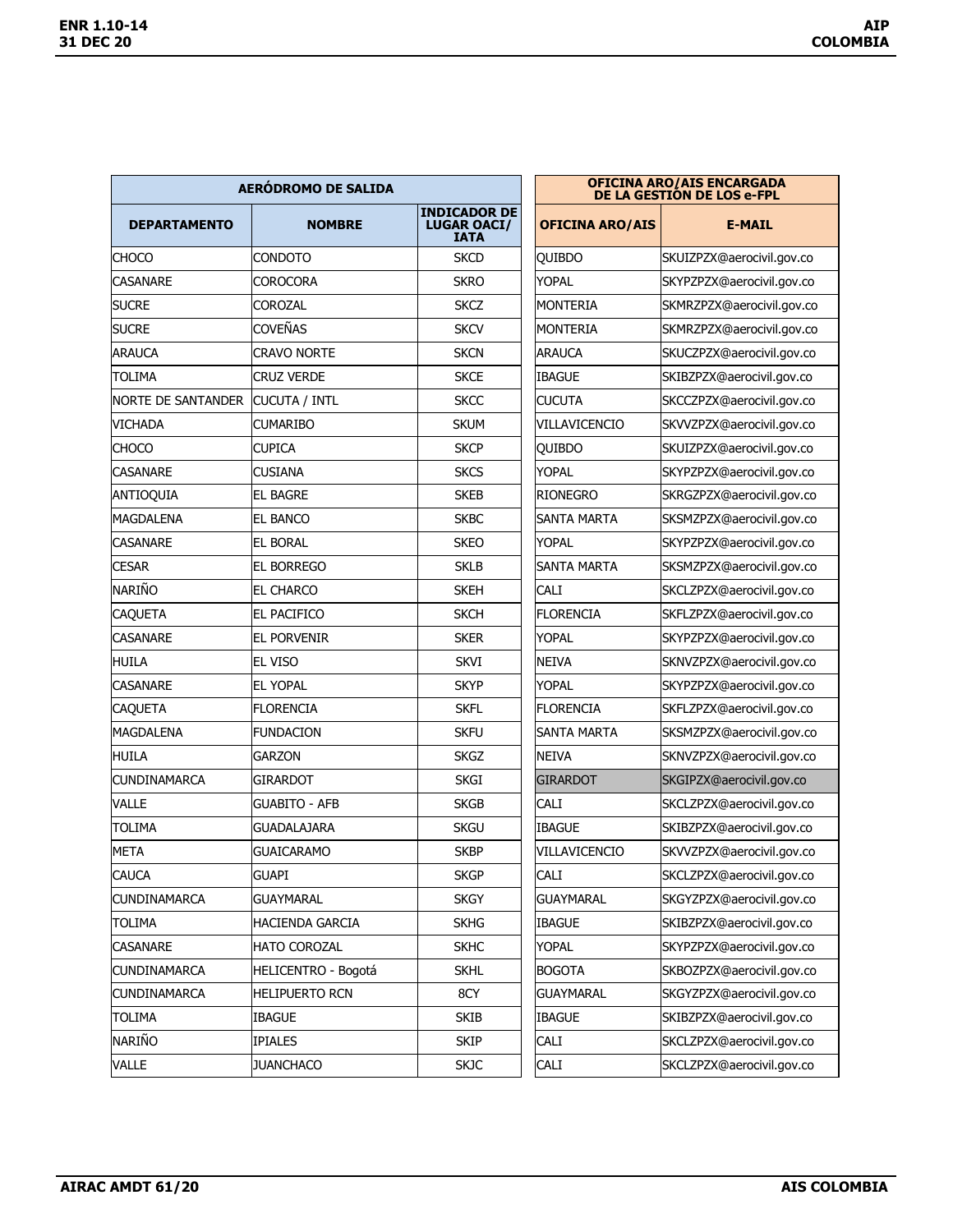| AERÓDROMO DE SALIDA       |                       |                                                          | <b>OFICINA ARO/AIS ENCARGADA<br/>DE LA GESTIÓN DE LOS e-FPL</b> |                           |  |
|---------------------------|-----------------------|----------------------------------------------------------|-----------------------------------------------------------------|---------------------------|--|
| <b>DEPARTAMENTO</b>       | <b>NOMBRE</b>         | <b>INDICADOR DE</b><br><b>LUGAR OACI/</b><br><b>IATA</b> | <b>OFICINA ARO/AIS</b>                                          | <b>E-MAIL</b>             |  |
| <b>CHOCO</b>              | <b>CONDOTO</b>        | <b>SKCD</b>                                              | QUIBDO                                                          | SKUIZPZX@aerocivil.gov.co |  |
| <b>CASANARE</b>           | <b>COROCORA</b>       | <b>SKRO</b>                                              | YOPAL                                                           | SKYPZPZX@aerocivil.gov.co |  |
| <b>SUCRE</b>              | COROZAL               | <b>SKCZ</b>                                              | IMONTERIA                                                       | SKMRZPZX@aerocivil.gov.co |  |
| <b>SUCRE</b>              | <b>COVEÑAS</b>        | <b>SKCV</b>                                              | MONTERIA                                                        | SKMRZPZX@aerocivil.gov.co |  |
| <b>ARAUCA</b>             | <b>CRAVO NORTE</b>    | <b>SKCN</b>                                              | <b>ARAUCA</b>                                                   | SKUCZPZX@aerocivil.gov.co |  |
| <b>TOLIMA</b>             | <b>CRUZ VERDE</b>     | <b>SKCE</b>                                              | <b>IBAGUE</b>                                                   | SKIBZPZX@aerocivil.gov.co |  |
| <b>NORTE DE SANTANDER</b> | CUCUTA / INTL         | <b>SKCC</b>                                              | <b>CUCUTA</b>                                                   | SKCCZPZX@aerocivil.gov.co |  |
| <b>VICHADA</b>            | <b>CUMARIBO</b>       | <b>SKUM</b>                                              | VILLAVICENCIO                                                   | SKVVZPZX@aerocivil.gov.co |  |
| <b>CHOCO</b>              | <b>CUPICA</b>         | <b>SKCP</b>                                              | QUIBDO                                                          | SKUIZPZX@aerocivil.gov.co |  |
| <b>CASANARE</b>           | CUSIANA               | <b>SKCS</b>                                              | YOPAL                                                           | SKYPZPZX@aerocivil.gov.co |  |
| <b>ANTIOQUIA</b>          | <b>EL BAGRE</b>       | <b>SKEB</b>                                              | <b>RIONEGRO</b>                                                 | SKRGZPZX@aerocivil.gov.co |  |
| MAGDALENA                 | EL BANCO              | <b>SKBC</b>                                              | SANTA MARTA                                                     | SKSMZPZX@aerocivil.gov.co |  |
| <b>CASANARE</b>           | <b>EL BORAL</b>       | <b>SKEO</b>                                              | <b>YOPAL</b>                                                    | SKYPZPZX@aerocivil.gov.co |  |
| <b>CESAR</b>              | <b>EL BORREGO</b>     | <b>SKLB</b>                                              | SANTA MARTA                                                     | SKSMZPZX@aerocivil.gov.co |  |
| <b>NARIÑO</b>             | <b>EL CHARCO</b>      | <b>SKEH</b>                                              | <b>CALI</b>                                                     | SKCLZPZX@aerocivil.gov.co |  |
| <b>CAQUETA</b>            | EL PACIFICO           | <b>SKCH</b>                                              | <b>FLORENCIA</b>                                                | SKFLZPZX@aerocivil.gov.co |  |
| <b>CASANARE</b>           | <b>EL PORVENIR</b>    | <b>SKER</b>                                              | <b>YOPAL</b>                                                    | SKYPZPZX@aerocivil.gov.co |  |
| <b>HUILA</b>              | EL VISO               | <b>SKVI</b>                                              | <b>NEIVA</b>                                                    | SKNVZPZX@aerocivil.gov.co |  |
| <b>CASANARE</b>           | <b>EL YOPAL</b>       | <b>SKYP</b>                                              | YOPAL                                                           | SKYPZPZX@aerocivil.gov.co |  |
| <b>CAQUETA</b>            | <b>FLORENCIA</b>      | <b>SKFL</b>                                              | <b>IFLORENCIA</b>                                               | SKFLZPZX@aerocivil.gov.co |  |
| MAGDALENA                 | <b>FUNDACION</b>      | <b>SKFU</b>                                              | SANTA MARTA                                                     | SKSMZPZX@aerocivil.gov.co |  |
| HUILA                     | <b>GARZON</b>         | <b>SKGZ</b>                                              | <b>NEIVA</b>                                                    | SKNVZPZX@aerocivil.gov.co |  |
| <b>CUNDINAMARCA</b>       | <b>GIRARDOT</b>       | SKGI                                                     | <b>GIRARDOT</b>                                                 | SKGIPZX@aerocivil.gov.co  |  |
| <b>VALLE</b>              | <b>GUABITO - AFB</b>  | <b>SKGB</b>                                              | <b>CALI</b>                                                     | SKCLZPZX@aerocivil.gov.co |  |
| <b>TOLIMA</b>             | <b>GUADALAJARA</b>    | <b>SKGU</b>                                              | <b>IBAGUE</b>                                                   | SKIBZPZX@aerocivil.gov.co |  |
| <b>META</b>               | <b>GUAICARAMO</b>     | <b>SKBP</b>                                              | VILLAVICENCIO                                                   | SKVVZPZX@aerocivil.gov.co |  |
| <b>CAUCA</b>              | <b>GUAPI</b>          | <b>SKGP</b>                                              | <b>CALI</b>                                                     | SKCLZPZX@aerocivil.gov.co |  |
| <b>CUNDINAMARCA</b>       | <b>GUAYMARAL</b>      | <b>SKGY</b>                                              | <b>GUAYMARAL</b>                                                | SKGYZPZX@aerocivil.gov.co |  |
| <b>TOLIMA</b>             | HACIENDA GARCIA       | <b>SKHG</b>                                              | <b>IBAGUE</b>                                                   | SKIBZPZX@aerocivil.gov.co |  |
| CASANARE                  | HATO COROZAL          | <b>SKHC</b>                                              | <b>YOPAL</b>                                                    | SKYPZPZX@aerocivil.gov.co |  |
| <b>CUNDINAMARCA</b>       | HELICENTRO - Bogotá   | <b>SKHL</b>                                              | <b>BOGOTA</b>                                                   | SKBOZPZX@aerocivil.gov.co |  |
| <b>CUNDINAMARCA</b>       | <b>HELIPUERTO RCN</b> | 8CY                                                      | <b>GUAYMARAL</b>                                                | SKGYZPZX@aerocivil.gov.co |  |
| <b>TOLIMA</b>             | <b>IBAGUE</b>         | <b>SKIB</b>                                              | <b>IBAGUE</b>                                                   | SKIBZPZX@aerocivil.gov.co |  |
| NARIÑO                    | <b>IPIALES</b>        | <b>SKIP</b>                                              | <b>CALI</b>                                                     | SKCLZPZX@aerocivil.gov.co |  |
| <b>VALLE</b>              | <b>JUANCHACO</b>      | <b>SKJC</b>                                              | CALI                                                            | SKCLZPZX@aerocivil.gov.co |  |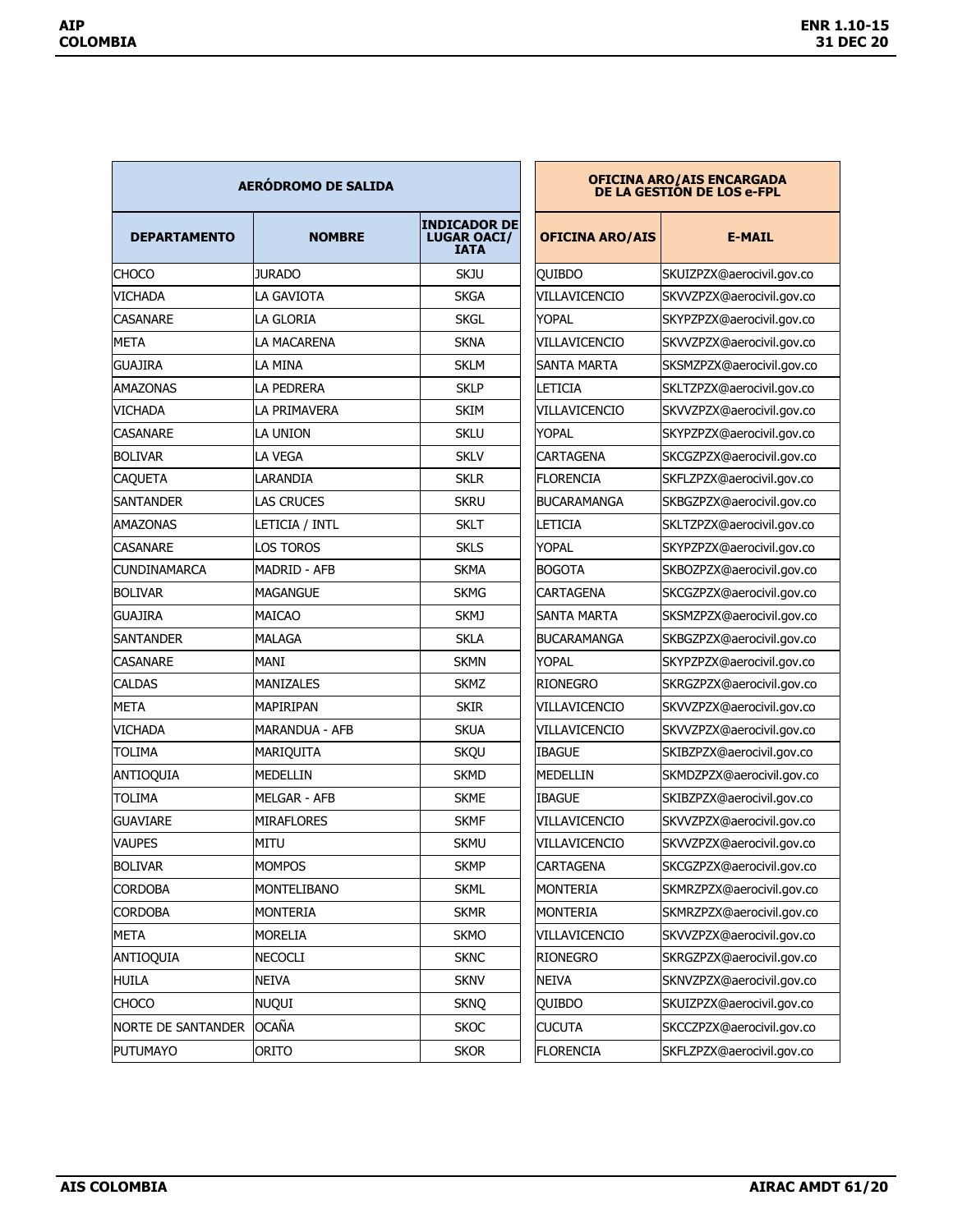| <b>AERÓDROMO DE SALIDA</b> |                     |                                                          | <b>OFICINA ARO/AIS ENCARGADA</b><br>DE LA GESTIÓN DE LOS e-FPL |                           |  |
|----------------------------|---------------------|----------------------------------------------------------|----------------------------------------------------------------|---------------------------|--|
| <b>DEPARTAMENTO</b>        | <b>NOMBRE</b>       | <b>INDICADOR DE</b><br><b>LUGAR OACI/</b><br><b>IATA</b> | <b>OFICINA ARO/AIS</b>                                         | <b>E-MAIL</b>             |  |
| CHOCO                      | <b>JURADO</b>       | <b>SKJU</b>                                              | <b>QUIBDO</b>                                                  | SKUIZPZX@aerocivil.gov.co |  |
| VICHADA                    | LA GAVIOTA          | <b>SKGA</b>                                              | VILLAVICENCIO                                                  | SKVVZPZX@aerocivil.gov.co |  |
| CASANARF                   | <b>LA GLORIA</b>    | <b>SKGL</b>                                              | YOPAL                                                          | SKYPZPZX@aerocivil.gov.co |  |
| META                       | LA MACARENA         | <b>SKNA</b>                                              | VILLAVICENCIO                                                  | SKVVZPZX@aerocivil.gov.co |  |
| <b>GUAJIRA</b>             | LA MINA             | <b>SKLM</b>                                              | <b>SANTA MARTA</b>                                             | SKSMZPZX@aerocivil.gov.co |  |
| AMAZONAS                   | LA PEDRERA          | <b>SKLP</b>                                              | LETICIA                                                        | SKLTZPZX@aerocivil.gov.co |  |
| VICHADA                    | LA PRIMAVERA        | <b>SKIM</b>                                              | <b>VILLAVICENCIO</b>                                           | SKVVZPZX@aerocivil.gov.co |  |
| CASANARE                   | LA UNION            | <b>SKLU</b>                                              | <b>YOPAL</b>                                                   | SKYPZPZX@aerocivil.gov.co |  |
| <b>BOLIVAR</b>             | <b>LA VEGA</b>      | <b>SKLV</b>                                              | <b>CARTAGENA</b>                                               | SKCGZPZX@aerocivil.gov.co |  |
| <b>CAQUETA</b>             | LARANDIA            | <b>SKLR</b>                                              | iflorencia                                                     | SKFLZPZX@aerocivil.gov.co |  |
| SANTANDER                  | <b>LAS CRUCES</b>   | <b>SKRU</b>                                              | IBUCARAMANGA                                                   | SKBGZPZX@aerocivil.gov.co |  |
| <b>AMAZONAS</b>            | LETICIA / INTL      | <b>SKLT</b>                                              | LETICIA                                                        | SKLTZPZX@aerocivil.gov.co |  |
| CASANARE                   | LOS TOROS           | <b>SKLS</b>                                              | YOPAL                                                          | SKYPZPZX@aerocivil.gov.co |  |
| <b>CUNDINAMARCA</b>        | <b>MADRID - AFB</b> | <b>SKMA</b>                                              | <b>BOGOTA</b>                                                  | SKBOZPZX@aerocivil.gov.co |  |
| <b>BOLIVAR</b>             | <b>MAGANGUE</b>     | <b>SKMG</b>                                              | <b>CARTAGENA</b>                                               | SKCGZPZX@aerocivil.gov.co |  |
| <b>GUAJIRA</b>             | <b>MAICAO</b>       | SKMJ                                                     | <b>SANTA MARTA</b>                                             | SKSMZPZX@aerocivil.gov.co |  |
| <b>SANTANDER</b>           | <b>MALAGA</b>       | <b>SKLA</b>                                              | BUCARAMANGA                                                    | SKBGZPZX@aerocivil.gov.co |  |
| CASANARE                   | MANI                | <b>SKMN</b>                                              | YOPAL                                                          | SKYPZPZX@aerocivil.gov.co |  |
| <b>CALDAS</b>              | <b>MANIZALES</b>    | <b>SKMZ</b>                                              | irionegro                                                      | SKRGZPZX@aerocivil.gov.co |  |
| <b>META</b>                | <b>MAPIRIPAN</b>    | <b>SKIR</b>                                              | VILLAVICENCIO                                                  | SKVVZPZX@aerocivil.gov.co |  |
| <b>VICHADA</b>             | IMARANDUA - AFB     | <b>SKUA</b>                                              | VILLAVICENCIO                                                  | SKVVZPZX@aerocivil.gov.co |  |
| TOLIMA                     | MARIQUITA           | <b>SKQU</b>                                              | <b>IBAGUE</b>                                                  | SKIBZPZX@aerocivil.gov.co |  |
| ANTIOQUIA                  | <b>MEDELLIN</b>     | <b>SKMD</b>                                              | <b>MEDELLIN</b>                                                | SKMDZPZX@aerocivil.gov.co |  |
| TOLIMA                     | <b>MELGAR - AFB</b> | <b>SKME</b>                                              | <b>IBAGUE</b>                                                  | SKIBZPZX@aerocivil.gov.co |  |
| <b>GUAVIARE</b>            | <b>MIRAFLORES</b>   | <b>SKMF</b>                                              | VILLAVICENCIO                                                  | SKVVZPZX@aerocivil.gov.co |  |
| <b>VAUPES</b>              | <b>MITU</b>         | <b>SKMU</b>                                              | VILLAVICENCIO                                                  | SKVVZPZX@aerocivil.gov.co |  |
| <b>BOLIVAR</b>             | <b>MOMPOS</b>       | <b>SKMP</b>                                              | <b>CARTAGENA</b>                                               | SKCGZPZX@aerocivil.gov.co |  |
| CORDOBA                    | MONTELIBANO         | <b>SKML</b>                                              | MONTERIA                                                       | SKMRZPZX@aerocivil.gov.co |  |
| CORDOBA                    | <b>MONTERIA</b>     | <b>SKMR</b>                                              | MONTERIA                                                       | SKMRZPZX@aerocivil.gov.co |  |
| <b>META</b>                | MORELIA             | <b>SKMO</b>                                              | VILLAVICENCIO                                                  | SKVVZPZX@aerocivil.gov.co |  |
| ANTIOQUIA                  | <b>NECOCLI</b>      | <b>SKNC</b>                                              | <b>RIONEGRO</b>                                                | SKRGZPZX@aerocivil.gov.co |  |
| <b>HUILA</b>               | <b>NEIVA</b>        | <b>SKNV</b>                                              | <b>NEIVA</b>                                                   | SKNVZPZX@aerocivil.gov.co |  |
| <b>CHOCO</b>               | NUQUI               | <b>SKNQ</b>                                              | QUIBDO                                                         | SKUIZPZX@aerocivil.gov.co |  |
| <b>NORTE DE SANTANDER</b>  | <b>OCAÑA</b>        | <b>SKOC</b>                                              | <b>CUCUTA</b>                                                  | SKCCZPZX@aerocivil.gov.co |  |
| <b>PUTUMAYO</b>            | ORITO               | <b>SKOR</b>                                              | <b>FLORENCIA</b>                                               | SKFLZPZX@aerocivil.gov.co |  |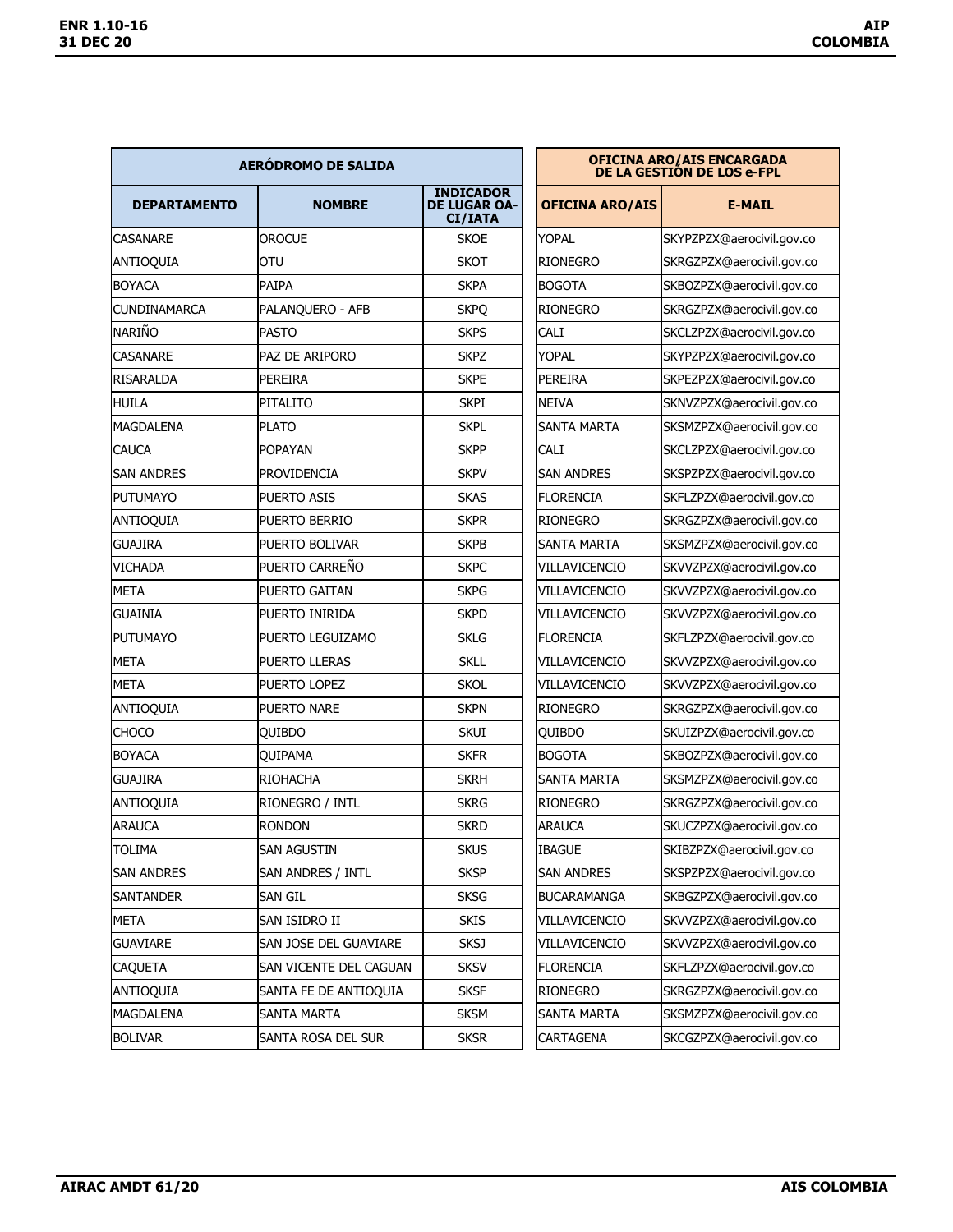| AERÓDROMO DE SALIDA |                        |                                                           | <b>OFICINA ARO/AIS ENCARGADA</b><br>DE LA GESTIÓN DE LOS e-FPL |                           |  |
|---------------------|------------------------|-----------------------------------------------------------|----------------------------------------------------------------|---------------------------|--|
| <b>DEPARTAMENTO</b> | <b>NOMBRE</b>          | <b>INDICADOR</b><br><b>DE LUGAR OA-</b><br><b>CI/IATA</b> | <b>OFICINA ARO/AIS</b>                                         | <b>E-MAIL</b>             |  |
| CASANARE            | <b>OROCUE</b>          | <b>SKOE</b>                                               | YOPAL                                                          | SKYPZPZX@aerocivil.gov.co |  |
| ANTIOQUIA           | OTU                    | <b>SKOT</b>                                               | <b>RIONEGRO</b>                                                | SKRGZPZX@aerocivil.gov.co |  |
| <b>BOYACA</b>       | <b>PAIPA</b>           | <b>SKPA</b>                                               | <b>BOGOTA</b>                                                  | SKBOZPZX@aerocivil.gov.co |  |
| <b>CUNDINAMARCA</b> | PALANQUERO - AFB       | <b>SKPQ</b>                                               | <b>RIONEGRO</b>                                                | SKRGZPZX@aerocivil.gov.co |  |
| NARIÑO              | <b>PASTO</b>           | <b>SKPS</b>                                               | CALI                                                           | SKCLZPZX@aerocivil.gov.co |  |
| CASANARE            | PAZ DE ARIPORO         | <b>SKPZ</b>                                               | <b>YOPAL</b>                                                   | SKYPZPZX@aerocivil.gov.co |  |
| <b>RISARALDA</b>    | <b>PEREIRA</b>         | <b>SKPE</b>                                               | PEREIRA                                                        | SKPEZPZX@aerocivil.gov.co |  |
| <b>HUILA</b>        | <b>PITALITO</b>        | <b>SKPI</b>                                               | <b>NEIVA</b>                                                   | SKNVZPZX@aerocivil.gov.co |  |
| MAGDALENA           | <b>PLATO</b>           | <b>SKPL</b>                                               | SANTA MARTA                                                    | SKSMZPZX@aerocivil.gov.co |  |
| CAUCA               | <b>POPAYAN</b>         | <b>SKPP</b>                                               | <b>CALI</b>                                                    | SKCLZPZX@aerocivil.gov.co |  |
| SAN ANDRES          | PROVIDENCIA            | <b>SKPV</b>                                               | <b>SAN ANDRES</b>                                              | SKSPZPZX@aerocivil.gov.co |  |
| <b>PUTUMAYO</b>     | <b>PUERTO ASIS</b>     | <b>SKAS</b>                                               | <b>FLORENCIA</b>                                               | SKFLZPZX@aerocivil.gov.co |  |
| <b>ANTIOQUIA</b>    | PUERTO BERRIO          | <b>SKPR</b>                                               | <b>RIONEGRO</b>                                                | SKRGZPZX@aerocivil.gov.co |  |
| GUAJIRA             | PUERTO BOLIVAR         | <b>SKPB</b>                                               | <b>SANTA MARTA</b>                                             | SKSMZPZX@aerocivil.gov.co |  |
| VICHADA             | PUERTO CARREÑO         | <b>SKPC</b>                                               | VILLAVICENCIO                                                  | SKVVZPZX@aerocivil.gov.co |  |
| <b>META</b>         | <b>PUERTO GAITAN</b>   | <b>SKPG</b>                                               | VILLAVICENCIO                                                  | SKVVZPZX@aerocivil.gov.co |  |
| <b>GUAINIA</b>      | PUERTO INIRIDA         | <b>SKPD</b>                                               | VILLAVICENCIO                                                  | SKVVZPZX@aerocivil.gov.co |  |
| <b>PUTUMAYO</b>     | PUERTO LEGUIZAMO       | <b>SKLG</b>                                               | FLORENCIA                                                      | SKFLZPZX@aerocivil.gov.co |  |
| <b>META</b>         | PUERTO LLERAS          | <b>SKLL</b>                                               | VILLAVICENCIO                                                  | SKVVZPZX@aerocivil.gov.co |  |
| <b>META</b>         | PUERTO LOPEZ           | <b>SKOL</b>                                               | VILLAVICENCIO                                                  | SKVVZPZX@aerocivil.gov.co |  |
| <b>ANTIOQUIA</b>    | <b>PUERTO NARE</b>     | <b>SKPN</b>                                               | <b>RIONEGRO</b>                                                | SKRGZPZX@aerocivil.gov.co |  |
| <b>CHOCO</b>        | QUIBDO                 | skui                                                      | QUIBDO                                                         | SKUIZPZX@aerocivil.gov.co |  |
| <b>BOYACA</b>       | <b>OUIPAMA</b>         | <b>SKFR</b>                                               | <b>BOGOTA</b>                                                  | SKBOZPZX@aerocivil.gov.co |  |
| <b>GUAJIRA</b>      | <b>RIOHACHA</b>        | <b>SKRH</b>                                               | SANTA MARTA                                                    | SKSMZPZX@aerocivil.gov.co |  |
| <b>ANTIOQUIA</b>    | RIONEGRO / INTL        | <b>SKRG</b>                                               | <b>RIONEGRO</b>                                                | SKRGZPZX@aerocivil.gov.co |  |
| <b>ARAUCA</b>       | <b>RONDON</b>          | <b>SKRD</b>                                               | ARAUCA                                                         | SKUCZPZX@aerocivil.gov.co |  |
| <b>TOLIMA</b>       | <b>SAN AGUSTIN</b>     | <b>SKUS</b>                                               | <b>IBAGUE</b>                                                  | SKIBZPZX@aerocivil.gov.co |  |
| SAN ANDRES          | SAN ANDRES / INTL      | <b>SKSP</b>                                               | <b>SAN ANDRES</b>                                              | SKSPZPZX@aerocivil.gov.co |  |
| SANTANDER           | <b>SAN GIL</b>         | <b>SKSG</b>                                               | <b>BUCARAMANGA</b>                                             | SKBGZPZX@aerocivil.gov.co |  |
| META                | SAN ISIDRO II          | <b>SKIS</b>                                               | VILLAVICENCIO                                                  | SKVVZPZX@aerocivil.gov.co |  |
| <b>GUAVIARE</b>     | SAN JOSE DEL GUAVIARE  | <b>SKSJ</b>                                               | VILLAVICENCIO                                                  | SKVVZPZX@aerocivil.gov.co |  |
| CAQUETA             | SAN VICENTE DEL CAGUAN | <b>SKSV</b>                                               | <b>FLORENCIA</b>                                               | SKFLZPZX@aerocivil.gov.co |  |
| <b>ANTIOQUIA</b>    | SANTA FE DE ANTIOQUIA  | <b>SKSF</b>                                               | <b>RIONEGRO</b>                                                | SKRGZPZX@aerocivil.gov.co |  |
| MAGDALENA           | <b>SANTA MARTA</b>     | <b>SKSM</b>                                               | SANTA MARTA                                                    | SKSMZPZX@aerocivil.gov.co |  |
| <b>BOLIVAR</b>      | SANTA ROSA DEL SUR     | <b>SKSR</b>                                               | <b>CARTAGENA</b>                                               | SKCGZPZX@aerocivil.gov.co |  |